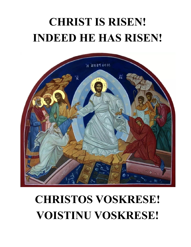# **CHRIST IS RISEN! INDEED HE HAS RISEN!**



# **CHRISTOS VOSKRESE! VOISTINU VOSKRESE!**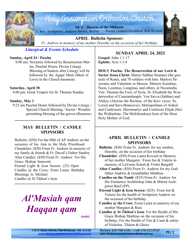

# Holy assumption Orthodox Church

**OCA - Diocese of the Midwest** V. Rev. Archpriest Andrew Bartek, Rector Parish Council President: Ron Royhab



**APRIL Bulletin Sponsor:** *Fr. Andrew in memory of my mother Dorothy on the occasion of her birthday*

# *Liturgical & Events Schedule*

### **Sunday, April 24 / Pascha**

 8:00 am: Nocturns followed by Resurrection Matins, Paschal Hours, Divine Liturgy. Blessing of baskets after Liturgy will be followed by the Agape Meal (Meal of Love) in the Church basement.

# **Saturday, April 30**

4:00 pm: Great Vespers for St. Thomas Sunday

# **Sunday, May 1**

 9:25 am Paschal Hours followed by Divine Liturgy / Special Church Meeting / Social / Weather permitting blessing of the graves (Resurrec-

# **MAY BULLETIN / CANDLE SPONSORS**

Bulletin: (\$50) For the Hlth of AP Andrew on the occasion of his Ann to the Holy Priesthood Chandelier: (\$50) From Fr. Andrew In memory of my family & friends & Fr. David's Father Stanley Altar Candles: (\$50) From Fr. Andrew For His Grace Bishop Innocent Eternal Light & Icon Screen: (25) Open Candles @ the Cross: From Laura: Birthday Blessings to Michael Candles @ St Tikhon's Icon

# *Al'Masiah qam Haqqan qam*

*Arabic*

# **SUNDAY APRIL 24, 2022**

**Gospel:** John 1:1-17 **Epistle:** Acts 1:1-8

**HOLY Pascha- The Resurrection of our Lord & Savior Jesus Christ.** Martyr Sabbas Stratates (the general) of Rome, and 70 soldiers with him. Martyrs Pasicrates and Valentine in Moesia. Martyrs Eusebius, Neon, Leontius, Longinus, and others, at Nicomedia. Ven. Thomas the Fool, of Syria. St. Elizabeth the Wonderworker of Constantinople. Ven Savva (Sabbas) and Aleksy (Alexius the Recluse, of the Kiev caves. Ss. Lorest and Sava Brancovici, Metropolitans of Ardeal and Confessors. Hieromartyr and Confessor Elijah (llie) the Wallachian. The Molchenskaya Icon of the Most Holy Mother of God.

# **APRIL BULLETIN / CANDLE SPONSORS**

**Bulletin**: (\$50) From Fr. Andrew for my mother, Dorothy, on the occasion of her birthday

**Chandelier**: (\$50) From Laura Kovach in Memory of her mother Margaret / From Joe & Valerie in memory of LaVerne Schutt & Violet Bargdill

- **Altar Candles**: (\$50) From Fr. Andrew for my Godfather Andrew & Grandfather Matthias
- **Candles on the Tomb**: (\$25) From Fr. Andrew for His Eminence Archbishop John & Mitred Archpriest Basil (FP)

**Eternal Light & Icon Screen**: (\$25) From Joe & Valerie for the health of Archpriest Andrew on the occasion of his birthday

**Candles @ the Cross**: From Laura in memory of my mother Margaret & Russ

**Candles @ St Tikhon's Icon**: For the Health of His Grace Bishop Matthias on the occasion of his birthday; For the Health of Tim & Cami & safety of Nicholas, Tikhon & Gleice

*110 E Main Street, Marblehead, OH 43440 Rectory 419-798-4591 / Cell 570-212-8747 <www.holyassumptionmarblehead.org> info@holyassumptionmarblehead.org*

**PG 2**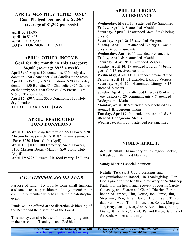# **APRIL: MONTHLY TITHE ONLY Goal Pledged per month: \$5,667 (average of \$1,307 per week)**

**April 3:** \$1,695 **April 10:** \$1,605 **April 17:** \$2,200 **TOTAL FOR MONTH:** \$5,500

# **APRIL: OTHER INCOME Goal for the month in this category: \$4,000 (Average \$923 a week)**

**April 3:** \$5 Vigils; \$20 donations; \$150 holy day donation; \$50 Chandelier; \$30 Candles at the cross **April 10**: \$35 Vigils; \$20 donations; \$200 Holy day donation; \$50 Bulletin; \$50 Chandelier; \$25 Candles on the tomb; \$50 Altar Candles; \$25 Eternal light; \$15 St Tikhon's Icon **April 17**: \$30 Vigils; \$530 Donations; \$150 Holy day donations **TOTAL FOR MONTH**: \$1,435

# **APRIL: RESTRICTED FUND DONATIONS**

**April 3:** \$65 Building Restoration; \$50 Flower; \$20 Mission Boxes (March); \$10 St Vladimir Seminary (Feb); \$250 Lions Club (April) **April 10**: \$100; \$100 Cemetery; \$415 Flowers; \$100 Mission Boxes (March); \$50 Lions Club (April)

**April 17**: \$225 Flowers; \$10 food Pantry; \$5 Lions

# *CATASTROPHIC RELIEF FUND*

Purpose of fund: To provide some small financial assistance to a parishioner, family member or community member who has suffered a catastrophic event.

Funds will be offered at the discretion & blessing of the Rector and the discretion of the Board.

This money can also be used for outreach programs in the parish. Thank you and God bless!

# **APRIL LITURGICAL ATTENDANCE**

**Wednesday, March 30**: 8 attended Pre-Sanctified **Friday, April 1**: 8 attended Akathist **Saturday, April 2**: 15 attended Mem. Sat (6 being guests) **Saturday, April 2**: 13 attended Vespers **Sunday, April 3**: 19 attended Liturgy (1 was a guest) 16 communicants **Wednesday, April 6**: 11 attended pre-sanctified **Friday, April 8**: 6 attended Akathist **Saturday, April 9**: 10 attended Vespers **Sunday, April 10**: 19 attended Liturgy (4 being guests) / 17 received communion **Wednesday, April 13:** 11 attended pre-sanctified **Friday, April 15**: 11 attended Lazarus Vespers **Saturday, April 16**: 14 attended Liturgy / 13 attended Vespers **Sunday, April 17**: 37 attended Liturgy (19 of which were visitors) / 20 communicants / 7 attended Bridegroom Matins **Monday, April 18**: 8 attended pre-sanctified / 12 attended Bridegroom matins **Tuesday, April 19**: 9 attended pre-sanctified / 8 attended Bridegroom Matins Wednesday, April 20: 6 attended pre-sanctified

# **VIGILS- APRIL 17**

**Jean Hileman 1** In memory of Fr Gregory Becker, fell asleep in the Lord March28

**Sandy Martin1** special intentions

**Natalie Twarek 5** God's blessings and congratulations to Rachel, In Thanksgiving, For God's grace for the health and recovery of Archbishop Paul, For the health and recovery of cousins Carole Conaway, and Sharon and Charlie Dietrich, For the health of Amber, Tim, Dottie, Joe, Jamie, Jim, Stephanie, Ron, Ezra, David, Helen Lis and Tina's dad, Earl, Matt, Tom, Loren, Joe, Sonya, Margi & Joe, Betty, Jackie, MaryAnn & Bob, Chuck, Bohdi, Diane, Stella, Jake, Cheryl, Pat and Karen, Safe travel for Zach, Amber and family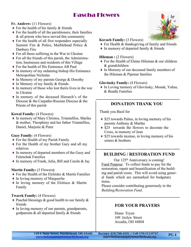# Pascha Flowers

# **Fr. Andrew:** (11 Flowers)

- $\triangle$  For the health of his family & friends
- $\blacklozenge$  For the health of all the parishioners, their families & all priests who have served this community
- $\triangle$  For the health of all first responders especially Summit Fire & Police, Marblehead Police & Danbury Fire
- $\triangle$  For all those suffering in the War in Ukraine
- $\blacklozenge$  For all the friends of this parish, the Administration, businesses and residents of this Village
- ♦ For the health of His Eminence AB Paul
- ♦ In memory of my ordaining bishop His Eminence Metropolitan Nicholas
- ♦ In Memory of my parents George & Dorothy
- $\bullet$  In Memory of my family & friends
- $\bullet$  In memory of those who lost theirs lives in the war in Ukraine
- ♦ In memory of the deceased Hierarch's of the Diocese & the Carpatho-Russian Diocese & the Priests of this parish

#### **Kowal Family:** (4 Flowers)

♦ In memory of Mary Christos, Triantafilos, Marika & mother, Theopheny and her father Triantafilos, Daniel, Marjorie & Peter

#### **Guzy Family**: (4 Flowers)

- $\triangle$  For the Health of my Parish Family
- ♦ For the Health of my brother Gary and all my relatives
- ♦ In memory of departed members of the Guzy and Felenchak Families
- ♦ In memory of Frank, Julia, Bill and Carole & Jay

#### **Martin Family:** (3 Flowers**)**

- ♦ For the Health of the Elchisko & Martin Families
- ♦ In loving memory of Marguerite
- ♦ In loving memory of the Elchisco & Martin Family

#### **Twarek Family:** (4 Flowers)

- $\triangle$  Paschal blessings & good health to our family & friends
- ♦ In loving memory of our parents, grandparents, godparents & all departed family & friends



#### **Kovach Family:** (3 Flowers)

- ♦ For Health & thanksgiving of family and friends
- ♦ In memory of departed family & friends

#### **Hileman :** (2 Flowers)

- $\bullet$  For the Health of Elaine Hileman  $\&$  our children & grandchildren
- ♦ In Memory of our deceased family members of the Hileman & Pipenur families

#### **Glovinsky Family:** (4 Flowers)

♦ In Loving memory of Glovinsky, Monak, Yuhas, & Beadle Families

# **DONATION THANK YOU**

Thank you Basil for

- $\triangle$  \$25 towards Palms, in loving memory of his parents Anthony & Martha
- \$25 towards the flowers to decorate the Cross, in memory of Jean
- $\triangle$  \$25 towards incense, in loving memory of his sisters & brothers

# **BUILDING / RESTORATION FUND**

Our 125<sup>th</sup> Anniversary is coming! Fund Purpose: To collect funds to pay for the restoration, repair and beautification of the building and parish room. This will avoid using general funds which are earmarked for budgetary items.

Please consider contributing generously to the *Building/Restoration Fund*.

# **FOR YOUR PRAYERS**

Diane Tryon 109 Joslyn Street Arcadia, OH 44804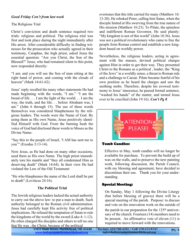# *Good Friday Con't from last week*

# The Religious Trial

Christ's conviction and death sentence required two trials: religious and political. The religious trial was first and took place during the night immediately after His arrest. After considerable difficulty in finding witnesses for the prosecution who actually agreed in their testimony, Caiaphas, the high priest, asked Jesus the essential question: "Are you Christ, the Son of the Blessed?" Jesus, who had remained silent to this point, now responded directly:

"I am; and you will see the Son of man sitting at the right hand of power, and coming with the clouds of heaven" (Mark 14:61-62).

Jesus' reply recalled the many other statements He had made beginning with the words, "I am." "I am the bread of life . . . I am the light of the world. . . I am the way, the truth, and the life. . . before Abraham was, I am." (John 6 through 15). The use of these words themselves was considered blasphemous by the religious leaders. The words were the Name of God. By using them as His own Name, Jesus positively identified Himself with God. From the burning bush the voice of God had disclosed these words to Moses as the Divine Name:

"Say this to the people of Israel, 'I AM has sent me to you'" (Exodus 3:13-14).

Now Jesus, as He had done on many other occasions, used them as His own Name. The high priest immediately tore his mantle and "they all condemned Him as deserving death" (Mark 14:64). In their view He had violated the Law of the Old Testament:

"He who blasphemes the name of the Lord shall be put to death" (Leviticus 24:16).

# **The Political Trial**

The Jewish religious leaders lacked the actual authority to carry out the above law: to put a man to death. Such authority belonged to the Roman civil administration. Jesus had carefully kept His activity free of political implications. He refused the temptation of Satan to rule the kingdoms of the world by the sword (Luke 4: 1-12). He often charged His disciples and others to tell no one that He was , the Christ, because of the political

110 E Main Street, Marblehead, OH 43440 Rectory 419-798-4591 / Cell 570-212-8747

overtones that this title carried for many (Matthew 16: 13-20). He rebuked Peter, calling him Satan, when the disciple hinted at His swerving from the true nature of His mission (Matthew 16:23). To Pilate, the spineless and indifferent Roman Governor, He said plainly: "My kingdom is not of this world" (John 18:36). Jesus was not a political revolutionary who came to free the people from Roman control and establish a new kingdom based on worldly power.

Nevertheless, the religious leaders, acting in agreement with the masses, devised political charges against Him in order to get their way. They presented Christ to the Romans as a political , leader, the "King of the Jews" in a worldly sense, a threat to Roman rule and a challenge to Caesar. Pilate became fearful of his own position as he heard the charges and saw the seething mobs. Therefore, despite his avowed testimony to Jesus' innocence, he passed formal sentence, "washed his hands" of the matter, and turned Jesus over to be crucified (John 19:16). *Con't Pg 8*



#### **Tomb Candles:**

Effective in May, tomb candles will no longer be available for purchase. To prevent the build up of wax on the walls, and to preserve the new painting work, following discussion, the Parish Council, with my blessing and agreement, have decided to discontinue their use. Thank you for your understanding.

#### **Special Meeting:**

On Sunday, May 1 following the Divine Liturgy (but before blessing of graves) there will be a special meeting of the parish. Purpose: to discuss and vote on the renovation work on the outside of

the parish in our preparation for the  $125<sup>th</sup>$  anniversary of the church. Fourteen (14) members need to be present. An affirmative vote of eleven (11) is required to move forward with the renovations.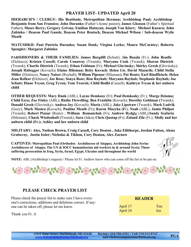# **PRAYER LIST- UPDATED April 20**

**HIERARCH'S / CLERGY: His Beatitude, Metropolitan Herman; Archbishop Paul; Archbishop Benjamin from San Fransico; John Duranko** (Father's home pastor)**; James Gleason** (Father's Spiritual Father)**; Moses Berry; Gregory Grivna; Emilian Hutnyan; Joseph Von Klarr; Michael Kuzara; John Zabinko / Deacon Paul Gansle, Deacon Peter Rentsch, Deacon Michael Wilson / Sub-deacon Wylie Meath**

**MATUSHKII: Pani Patricia Duranko; Susan Dank; Virgina Lecko; Maura McCarntey; Roberta Spengler; Margaret Zabinko**

**PARISHIONERS & THEIR FAMILIES: James Bargdill (**Schutt); J**im Basala** (Fr.); **John Beadle** (Elchisco)**; Kristen Cassell; Carole Conaway** (Twarek); **Maryann Cook** (Twarek); **Sharon Dietrich** (Twarek); **Charlie Dietrich** (Twarek); **Ethan Feldman** (Fr); **Michael Glovinsky; Shirley Gresh (**Glovinsky); **Joseph Habegger** (Kovach)**; Elaine Hileman; Betty Kovach**; **Helen Lis**; **David Mazurik; Child Stella Miller** (Elchisco); **Nancy Naiser** (Royhab); **William Pipenur** (Hileman)**; Pat Rentz; Earl Rindfleisch**; **Helen Jean Rofkar (**Elchisco); **Joe Rose; Sonya Rose; Ron Royhab; Maryann Royhab; Stephanie Royhab; Joe Schutt; Diane Tryon; Greg Tyron; Tom Twarek; Child Bodhi (**Cassell); **Kathryn Tryon & her unborn child**

**OTHER REQUESTS: Mary Dank** (ABL); **Layne Demkosy** (Fr); **Paul Demkosky** (Fr.); **Marge Dziama; Child Ezra; Zoe Finley** (ABL); **Ruthe Flewelling**; **Ben Franklin** (Kovach); **Dorothy Goldman (**Twarek); **Donald Gresh** (Glovinsky); **Andrea Joy** (Kovach); **Maria** (ABL); **Jake Lipstraw** (Twarek); **Mark Ludvik** (Guzy); **Mark Masica (**Kovach); **Pauline Meath** (Fr)**; Karen Muzyka (F**r); **Noah** (ABL); **Jamie Philpot** (Twarek); **Robert Piznar** (Rentz) ; **William Romanchak** (Fr); **Andrew Rydgi**g (ABL);**Sandy Scafaria** (Hileman); **Chuck Wiedenhoft (**Twarek); **Sara** (Jake)**; Chris Quotap (**Fr); **Zoland Zile** (Fr.); **Molly and her unborn child (Fr.); Ashley and her unborn child**

**MILITARY: Alex, Nathan Brown, Craig Cassell, Cory Deaton , Jake Ellithorpe, Jordan Fulton, Alena Grabavoy, Justin Issler; Nicholas & Tikhon, Cory Deaton, Alex Zarnow**

**CAPTIVES: Metropolitan Paul (Orthodox Archdiocese of Aleppo), Archbishop John Syriac Archdiocese of Aleppo, The UN & IOCC humanitarian aid workers in & around Syria; Those suffering persecution in Iraq, Syria, Israel, Egypt, Ukraine and throughout the world**



**NOTE:** ABL (Archbishop's request) / Please let Fr. Andrew know who can come off the list or be put on.



# **PLEASE CHECK PRAYER LIST**

Please check the prayer list to make sure I have everyone's corrections, additions and deletions correct. If anyone can be taken off, please let me know. **DEADED** 

Thank you Fr. A

|                      | NEADEN |            |  |
|----------------------|--------|------------|--|
| April 17<br>April 24 |        | Tim<br>Joe |  |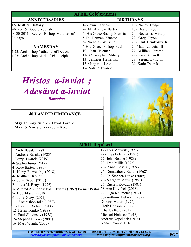| <b>APRIL Celebrations</b>             |                              |                      |  |  |  |
|---------------------------------------|------------------------------|----------------------|--|--|--|
| <b>ANNIVERSARIES</b>                  | <b>BIRTHDAYS</b>             |                      |  |  |  |
| 17- Matt & Brittany                   | 1-Shawn Lariccia             | 18- Nancy Bunge      |  |  |  |
| 20- Ron & Bobbie Royhab               | 2- AP Andrew Bartek          | 18- Diane Tryon      |  |  |  |
| 4-30-2011: Retired Bishop Matthias of | 4- His Grace Bishop Matthias | 20- Nectarios Mihaly |  |  |  |
| Chicago                               | 5-Fr. Herman Kincaid         | 22- Greg Tryon       |  |  |  |
|                                       | 5- Nicholas Weisend          | 23- Paul Demkosky Jr |  |  |  |
| <b>NAMESDAY</b>                       | 6-His Grace Bishop Paul      | 24-Matt Lariccia III |  |  |  |
| 4-22: Archbishop Nathaniel of Detroit | 10- Jean Hileman             | 27- William Jerome   |  |  |  |
| 4-25: Archbishop Mark of Philadelphia | 11- Christopher Mihaly       | 27- Katie Cassell    |  |  |  |
|                                       | 13- Jennifer Heffernan       | 28- Serena Byngton   |  |  |  |
|                                       | 13-Margarita Leso            | 29- Katie Twarek     |  |  |  |
|                                       | 17- Natalie Twarek           |                      |  |  |  |

# *Hristos a-înviat ; Adevărat a-înviat*

*Romanian*

# **40 DAY REMEMBRANCE**

**May 1:** Gary Smolk / David Lavalle **May 15**: Nancy Sitzler / John Kotch



# APRIL Reposed

| 1-Andy Basala (1982)                                                           | 17- Lois Mazurik (1999)      |
|--------------------------------------------------------------------------------|------------------------------|
| 1-Andreas Basala (1923)                                                        | 22- Olga Belenky (1971)      |
| 1-Larry Twarek (2019)                                                          | 22- John Beadle (1988)       |
| 4- Sophia Jump (2012)                                                          | 22- Fred Millie (1996)       |
| 4- Rose Bartek (1986)                                                          | 23- Anna Basala (1994)       |
| 4- Harry Flewelling (2018)                                                     | 24- Demasthony Ballan (1968) |
| 4- Matthew Kollar                                                              | 24- Fr. Stephen Dutko (2009) |
| 6- John Sabol (2017)                                                           | 26- Margaret Mazur (1987)    |
| 7- Louis M. Benya (1976)                                                       | 26- Russell Kovach (1981)    |
| 7- Mitered Archpriest Basil Dziama (1969) Former Pastor 28-Ann Kovalick (2018) |                              |
| 7- Bob Mazur (2018)                                                            | 29- Olga Kollmeier (1972)    |
| 9- Julia Guzy (2021)                                                           | 30- Anthony Hubicki (1977)   |
| 11- Archbishop John (1982)                                                     | Dolores Martin (1974)        |
| 11- LaVerne Schutt (2014)                                                      | Herb Hobson (2004)           |
| 12- Helen Tomko (1989)                                                         | Charles Rose (2015)          |
| 14- Paul Glovinsky (1978)                                                      | Michael Elchisco (1913)      |
| 15- Stephen Brooks (2005)                                                      | Andrew Kopchock (1914)       |
| 16- Mary Wright (2005)                                                         | Anna Onyock (1916)           |
|                                                                                |                              |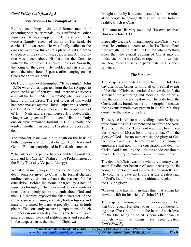#### *Good Friday con't from Pg 5*

#### **Crucifixion—The Triumph of Evil**

Before succumbing to this cruel Roman method of executing political criminals, Jesus suffered still other injustices. He was stripped, mocked and beaten. He wore a "kingly" crown of thorns on His head. He carried His own cross. He was finally nailed to the cross between two thieves at a place called Golgotha (the place of the skull) outside Jerusalem. An inscription was placed above His head on the Cross to indicate the nature of His crime: "Jesus of Nazareth, the King of the Jews." He yielded up His spirit at about the ninth hour (3 p.m.), after hanging on the Cross for about six hours.

On Holy Friday evil triumphed. "It was night" (John 13:30) when Judas departed from the Last Supper to complete his act of betrayal, and "there was darkness over all the land" (Matthew 27:45) when Jesus was hanging on the Cross. The evil forces of this world had been massed against Christ. Unjust trials convicted Him. A criminal was released to the people instead of Him. Nails and a spear pierced His body. Bitter vinegar was given to Him to quench His thirst. Only one disciple remained faithful to Him. Finally, the tomb of another man became His place of repose after death.

The innocent Jesus was put to death on the basis of both religious and political charges. Both Jews and Gentile Romans participated in His death sentence.

"The rulers of the people have assembled against the Lord and His Christ." (Psalm 2—the Prokeimenon of the Holy Thursday Vesperal Liturgy)

We, also, in many ways continue to participate in the death sentence given to Christ. The formal charges outlined above do not exhaust the reasons for the crucifixion. Behind the formal charges lay a host of injustices brought, on by hidden and personal motivations. Jesus openly spoke the truth about God and man. He thereby exposed the false character of the righteousness and smug security, both religious and material, claimed by many especially those in high places. The constantly occurring expositions of such smugness in our own day teach us the truly illusory nature of much so-called righteousness and security. In the deepest sense, the death of Christ was

brought about by hardened, personal sin—the refusal of people to change themselves in the light of reality, which is Christ.

"He came to His very own, and His own received Him not" (John 1:11).

Especially we, the Christian people, are Christ's very own. He continues to come to us in His Church. Each time we attempt to make the Church into something other than the eternal coming of Christ into our midst, each time we refuse to repent for our wrongs; we, too, reject Christ and participate in His death sentence.

#### **The Vespers**

The Vespers, celebrated in the Church on Holy Friday afternoon, brings to mind all of the final events of the life of Christ as mentioned above: the trial, the sentence, the scourging and mocking, the crucifixion, the death, the taking down of His body from the Cross, and the burial. As the hymnography indicates, these events remain ever-present in the Church; they constitute the today of its life.

The service is replete with readings from Scripture: three from the Old Testament and two from the New. The first of the Old Testament readings, from Exodus, speaks of Moses beholding the "back" of the glory of God—for no man can see the glory of God face to face and live. The Church uses this reading to emphasize that now, in the crucifixion and death of Christ, God is making the ultimate condescension to reveal His glory to man—from within man himself.

The death of Christ was of a wholly voluntary character. He dies not because of some necessity in His being: as the Son of God He has life in Himself! Yet, He voluntarily gave up His life as the greatest sign of God's love for man, as the ultimate revelation of the Divine glory:

"Greater love has no man than this, that a man lay down his life for his friends" (John 15:13).

The vesperal hymnography further develops the fact that God reveals His glory to us in this condescending love. The Crucifixion is the heart of such love, for the One being crucified is none other than He through whom all things have been created: *Con't Next Pg*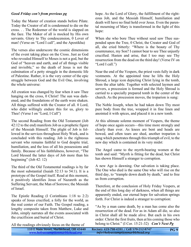# *Good Friday con't from previous pg*

Today the Master of creation stands before Pilate. Today the Creator of all is condemned to die on the cross. . . The Redeemer of the world is slapped on the face. The Maker of all is mocked by His own servants. Glory to Thy condescension, 0 Lover of man! (Verse on "Lord I call", and the Apostikha)

The verses also underscore the cosmic dimensions of the event taking place on the Cross. Just as God who revealed Himself to Moses is not a god, but the God of "heaven and earth, and of all things visible and invisible," so the death of Jesus is not the culmination of a petty struggle in the domestic life of Palestine. Rather, it is the very center of the epic struggle between God and the Evil One, involving the whole universe:

All creation was changed by fear when it saw Thee hanging on the cross, 0 Christ! The sun was darkened, and the foundations of the earth were shaken. All things suffered with the Creator of all. 0 Lord, who didst willingly endure this for us, glory to Thee! (Verse I on "Lord, I Call")

The second Reading from the Old Testament (Job 42:12 to the end) manifests Job as a prophetic figure of the Messiah Himself. The plight of Job is followed in the services throughout Holy Week, and is concluded with this reading. Job is the righteous servant who remains faithful to God despite trial, humiliation, and the loss of all his possessions and family. Because of his faithfulness, however, "The Lord blessed the latter days of Job more than his beginning" (Job 42: 12)

The third of the Old Testamental readings is by far the most substantial (Isaiah 52:13 to 54:1). It is a prototype of the Gospel itself. Read at this moment, it positively identifies Jesus of Nazareth as the Suffering Servant, the Man of Sorrows; the Messiah of Israel.

The Epistle Reading (I Corinthians 1:18 to 2:2) speaks of Jesus crucified, a folly for the world, as the real center of our Faith. The Gospel reading, a lengthy composite taken from Matthew, Luke and John, simply narrates all the events associated with the crucifixion and burial of Christ.

All the readings obviously focus on the theme of

hope. As the Lord of Glory, the fulfillment of the righteous Job, and the Messiah Himself, humiliation and death will have no final hold over Jesus. Even the parental mourning of Mary is transformed in the light of this hope:

When she who bore Thee without seed saw Thee suspended upon the Tree, 0 Christ, the Creator and God of all, she cried bitterly: "Where is the beauty of Thy countenance, my Son? I cannot bear to see Thee unjustly crucified. Hasten and arise, that I too may see Thy resurrection from the dead on the third day! (Verse IV on "Lord I call.")

Near the end of the Vespers, the priest vests fully in dark vestments. At the appointed time he lifts the Holy Shroud, a large icon depicting Christ lying in the tomb, from the altar table. Together with selected laymen and servers, a procession is formed and the Holy Shroud is carried to a specially prepared tomb in the center of the church. As the procession moves, the troparion is sung:

The Noble Joseph, when he had taken down Thy most pure body from the tree, wrapped it in fine linen and anointed it with spices, and placed it in a new tomb.

At this ultimate solemn moment of Vespers, the theme of hope once again occurs—this time more strongly and clearly than ever. As knees are bent and heads are bowed, and often tears are shed, another troparion is sung which penetrates through this triumph of evil, to the new day which is contained in its very midst:

The Angel came to the myrrh-bearing women at the tomb and said: "Myrrh is fitting for the dead, but Christ has shown Himself a stranger to corruption.

A new Age is dawning. Our salvation is taking place. The One who died is the same One who will rise on the third day, to "trample down death by death," and to free us from corruption.

Therefore, at the conclusion of Holy Friday Vespers, at the end of this long day of darkness, when all things are apparently ended, our eternal hope for salvation springs forth. For Christ is indeed a stranger to corruption:

"As by a man came death, by a man has come also the resurrection of the dead. For as in Adam all die, so also in Christ shall all be made alive. But each in his own order: Christ the first fruits, then at his coming those who belong to Christ." (I Cor. 15:21-32) *Con't Next Pg*

| 110 E Main Street, Marblehead, OH 43440 | Rectory 419-798-4591 / Cell 570-212-8747 | <b>PG9</b> |
|-----------------------------------------|------------------------------------------|------------|
| www.holyassumptionmarblehead.org        | info@holyassumptionmarblehead.org        |            |